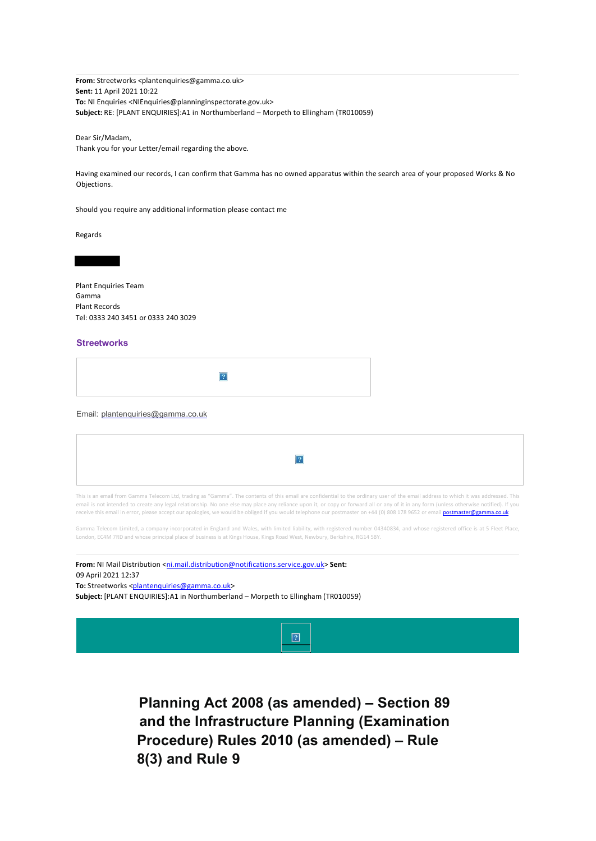**From:** Streetworks <plantenquiries@gamma.co.uk> **Sent:** 11 April 2021 10:22 **To:** NI Enquiries <NIEnquiries@planninginspectorate.gov.uk> **Subject:** RE: [PLANT ENQUIRIES]:A1 in Northumberland – Morpeth to Ellingham (TR010059)

Dear Sir/Madam,

Thank you for your Letter/email regarding the above.

Having examined our records, I can confirm that Gamma has no owned apparatus within the search area of your proposed Works & No Objections.

Should you require any additional information please contact me

Regards

Plant Enquiries Team Gamma Plant Records Tel: 0333 240 3451 or 0333 240 3029

## **Streetworks**

| $\sim$ |
|--------|
|--------|

## Email: plantenquiries@gamma.co.uk

This is an email from Gamma Telecom Ltd, trading as "Gamma". The contents of this email are confidential to the ordinary user of the email address to which it was addressed. This email is not intended to create any legal relationship. No one else may place any reliance upon it, or copy or forward all or any of it in any form (unless otherwise notified). If you receive this email in error, please accept our apologies, we would be obliged if you would telephone our postmaster on +44 (0) 808 178 9652 or email **postmaster@gamma.co.uk** 

Gamma Telecom Limited, a company incorporated in England and Wales, with limited liability, with registered number 04340834, and whose registered office is at 5 Fleet Place, London, EC4M 7RD and whose principal place of business is at Kings House, Kings Road West, Newbury, Berkshire, RG14 5BY.

From: NI Mail Distribution <ni.mail.distribution@notifications.service.gov.uk> Sent: 09 April 2021 12:37

To: Streetworks <plantenquiries@gamma.co.uk>

**Subject:** [PLANT ENQUIRIES]:A1 in Northumberland – Morpeth to Ellingham (TR010059)



**Planning Act 2008 (as amended) – Section 89 and the Infrastructure Planning (Examination Procedure) Rules 2010 (as amended) – Rule 8(3) and Rule 9**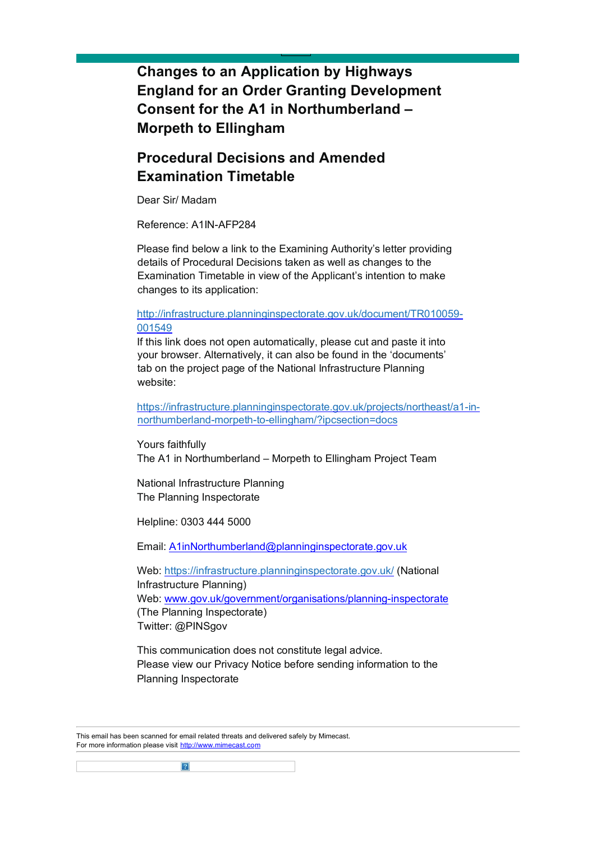**Changes to an Application by Highways England for an Order Granting Development Consent for the A1 in Northumberland – Morpeth to Ellingham**

## **Procedural Decisions and Amended Examination Timetable**

Dear Sir/ Madam

Reference: A1IN-AFP284

Please find below a link to the Examining Authority's letter providing details of Procedural Decisions taken as well as changes to the Examination Timetable in view of the Applicant's intention to make changes to its application:

## [http://infrastructure.planninginspectorate.gov.uk/document/TR010059-](https://gbr01.safelinks.protection.outlook.com/?url=http%3A%2F%2Finfrastructure.planninginspectorate.gov.uk%2Fdocument%2FTR010059-001549&data=04%7C01%7CA1inNorthumberland%40planninginspectorate.gov.uk%7Cb453cb13209c43a9109e08d8fe742258%7C5878df986f8848ab9322998ce557088d%7C0%7C0%7C637539122027874496%7CUnknown%7CTWFpbGZsb3d8eyJWIjoiMC4wLjAwMDAiLCJQIjoiV2luMzIiLCJBTiI6Ik1haWwiLCJXVCI6Mn0%3D%7C1000&sdata=NMQepGSzSV4WFzj%2BdMt%2Bulg%2F0FP%2BLNCc4iYJqd8BF2A%3D&reserved=0) [001549](https://gbr01.safelinks.protection.outlook.com/?url=http%3A%2F%2Finfrastructure.planninginspectorate.gov.uk%2Fdocument%2FTR010059-001549&data=04%7C01%7CA1inNorthumberland%40planninginspectorate.gov.uk%7Cb453cb13209c43a9109e08d8fe742258%7C5878df986f8848ab9322998ce557088d%7C0%7C0%7C637539122027874496%7CUnknown%7CTWFpbGZsb3d8eyJWIjoiMC4wLjAwMDAiLCJQIjoiV2luMzIiLCJBTiI6Ik1haWwiLCJXVCI6Mn0%3D%7C1000&sdata=NMQepGSzSV4WFzj%2BdMt%2Bulg%2F0FP%2BLNCc4iYJqd8BF2A%3D&reserved=0)

If this link does not open automatically, please cut and paste it into your browser. Alternatively, it can also be found in the 'documents' tab on the project page of the National Infrastructure Planning website:

[https://infrastructure.planninginspectorate.gov.uk/projects/northeast/a1-in](https://infrastructure.planninginspectorate.gov.uk/projects/north-east/a1-in-northumberland-morpeth-to-ellingham/?ipcsection=docs)[northumberland-morpeth-to-ellingham/?ipcsection=docs](https://infrastructure.planninginspectorate.gov.uk/projects/north-east/a1-in-northumberland-morpeth-to-ellingham/?ipcsection=docs)

Yours faithfully The A1 in Northumberland – Morpeth to Ellingham Project Team

National Infrastructure Planning The Planning Inspectorate

Helpline: 0303 444 5000

Email: A1inNorthumberland@planninginspectorate.gov.uk

Web:<https://infrastructure.planninginspectorate.gov.uk/> (National Infrastructure Planning) Web: [www.gov.uk/government/organisations/planning-inspectorate](https://gbr01.safelinks.protection.outlook.com/?url=http%3A%2F%2Fwww.gov.uk%2Fgovernment%2Forganisations%2Fplanning-inspectorate&data=04%7C01%7CA1inNorthumberland%40planninginspectorate.gov.uk%7Cb453cb13209c43a9109e08d8fe742258%7C5878df986f8848ab9322998ce557088d%7C0%7C0%7C637539122027884451%7CUnknown%7CTWFpbGZsb3d8eyJWIjoiMC4wLjAwMDAiLCJQIjoiV2luMzIiLCJBTiI6Ik1haWwiLCJXVCI6Mn0%3D%7C1000&sdata=7T9Kw3gZcmsy63oEmemUhhZgL5rEu9y3IOwzcSd9%2B4U%3D&reserved=0) (The Planning Inspectorate) Twitter: @PINSgov

This communication does not constitute legal advice. Please view our Privacy Notice before sending information to the Planning Inspectorate

This email has been scanned for email related threats and delivered safely by Mimecast. For more information please visit [http://www.mimecast.com](https://gbr01.safelinks.protection.outlook.com/?url=http%3A%2F%2Fwww.mimecast.com%2F&data=04%7C01%7CA1inNorthumberland%40planninginspectorate.gov.uk%7Cb453cb13209c43a9109e08d8fe742258%7C5878df986f8848ab9322998ce557088d%7C0%7C0%7C637539122027884451%7CUnknown%7CTWFpbGZsb3d8eyJWIjoiMC4wLjAwMDAiLCJQIjoiV2luMzIiLCJBTiI6Ik1haWwiLCJXVCI6Mn0%3D%7C1000&sdata=ZYiAb%2FNMVH4tZFC31btHxNFLkaeneCVeYIq9UsxTRj8%3D&reserved=0)